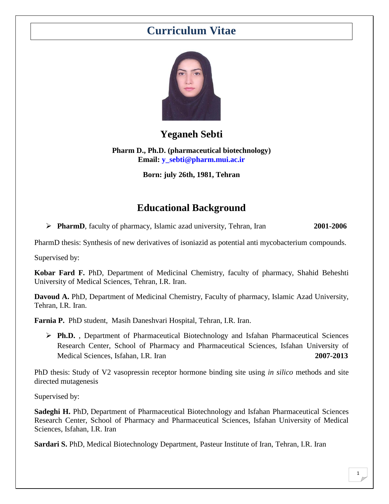# **Curriculum Vitae**



## **Yeganeh Sebti**

**Pharm D., Ph.D. (pharmaceutical biotechnology) Email: [y\\_sebti@pharm.mui.ac.ir](mailto:y_sebti@pharm.mui.ac.ir)**

**Born: july 26th, 1981, Tehran**

## **Educational Background**

**PharmD**, faculty of pharmacy, Islamic azad university, Tehran, Iran **2001-2006**

PharmD thesis: Synthesis of new derivatives of isoniazid as potential anti mycobacterium compounds.

Supervised by:

**Kobar Fard F.** PhD, Department of Medicinal Chemistry, faculty of pharmacy, Shahid Beheshti University of Medical Sciences, Tehran, I.R. Iran.

**Davoud A.** PhD, Department of Medicinal Chemistry, Faculty of pharmacy, Islamic Azad University, Tehran, I.R. Iran.

**Farnia P.** PhD student, Masih Daneshvari Hospital, Tehran, I.R. Iran.

 **Ph.D.** , Department of Pharmaceutical Biotechnology and Isfahan Pharmaceutical Sciences Research Center, School of Pharmacy and Pharmaceutical Sciences, Isfahan University of Medical Sciences, Isfahan, I.R. Iran **2007-2013** 

PhD thesis: Study of V2 vasopressin receptor hormone binding site using *in silico* methods and site directed mutagenesis

Supervised by:

**Sadeghi H.** PhD, Department of Pharmaceutical Biotechnology and Isfahan Pharmaceutical Sciences Research Center, School of Pharmacy and Pharmaceutical Sciences, Isfahan University of Medical Sciences, Isfahan, I.R. Iran

**Sardari S.** PhD, Medical Biotechnology Department, Pasteur Institute of Iran, Tehran, I.R. Iran